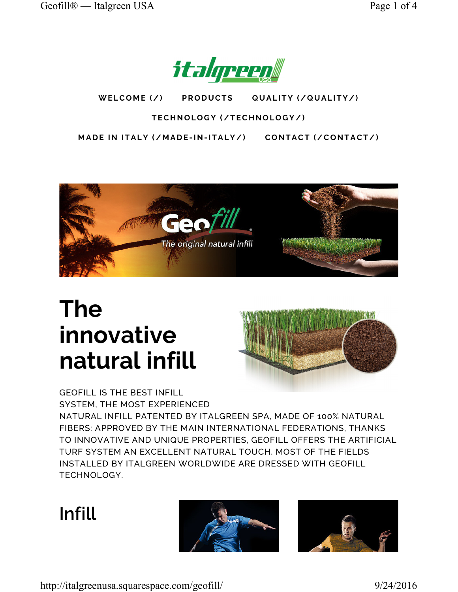

WELCOME (/) PRODUCTS QUALITY (/QUALITY/) **PRODUCTS** 

## TECHNOLOGY (/TECHNOLOGY/)

MADE IN ITALY (/MADE-IN-ITALY/) CONTACT (/CONTACT/)



# The innovative natural infill



GEOFILL IS THE BEST INFILL SYSTEM, THE MOST EXPERIENCED NATURAL INFILL PATENTED BY ITALGREEN SPA, MADE OF 100% NATURAL FIBERS: APPROVED BY THE MAIN INTERNATIONAL FEDERATIONS, THANKS TO INNOVATIVE AND UNIQUE PROPERTIES, GEOFILL OFFERS THE ARTIFICIAL TURF SYSTEM AN EXCELLENT NATURAL TOUCH. MOST OF THE FIELDS INSTALLED BY ITALGREEN WORLDWIDE ARE DRESSED WITH GEOFILL TECHNOLOGY.

## Infill



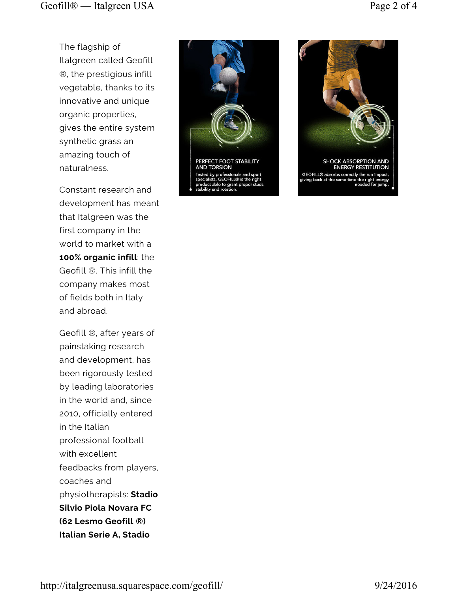The flagship of Italgreen called Geofill ®, the prestigious infill vegetable, thanks to its innovative and unique organic properties, gives the entire system synthetic grass an amazing touch of naturalness.

Constant research and development has meant that Italgreen was the first company in the world to market with a 100% organic infill: the Geofill ®. This infill the company makes most of fields both in Italy and abroad.

Geofill ®, after years of painstaking research and development, has been rigorously tested by leading laboratories in the world and, since 2010, officially entered in the Italian professional football with excellent feedbacks from players, coaches and physiotherapists: Stadio Silvio Piola Novara FC (62 Lesmo Geofill ®) Italian Serie A, Stadio



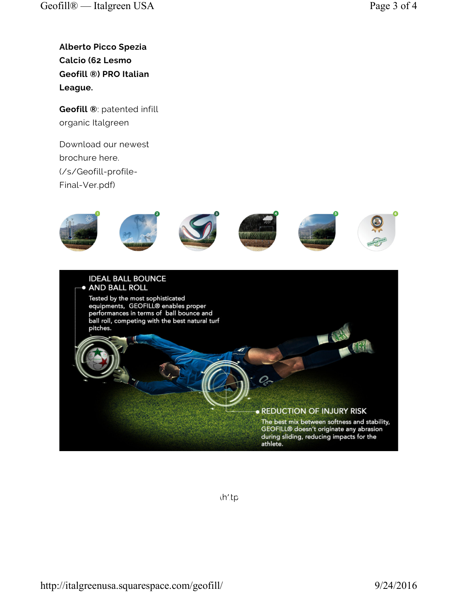Alberto Picco Spezia Calcio (62 Lesmo Geofill ®) PRO Italian League.

Geofill ®: patented infill organic Italgreen

Download our newest brochure here. (/s/Geofill-profile-Final-Ver.pdf)



 $(h'tp$